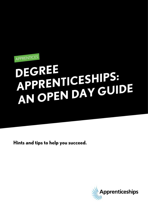

# **DEGREE APPRENTICESHIPS: AN OPEN DAY GUIDE**

**Hints and tips to help you succeed.**

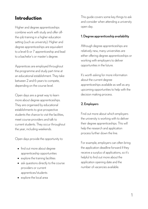# **Introduction**

Higher and degree apprenticeships combine work with study and offer offthe-job training in a higher education setting (such as university). Higher and degree apprenticeships are equivalent to a level 6 or 7 apprenticeship and lead to a bachelor's or master's degree.

Apprentices are employed throughout the programme and study part-time at an educational establishment. They take between 2 and 6 years to compete, depending on the course level.

Open days are a great way to learn more about degree apprenticeships. They are organised by educational establishments to give prospective students the chance to visit the facilities, meet course providers and talk to current students. They occur throughout the year, including weekends.

Open days provide the opportunity to:

- find out more about degree apprenticeship opportunities
- explore the training facilities
- ask questions directly to the course providers or current apprentices/students
- explore the local area

This guide covers some key things to ask and consider when attending a university open day.

# 1.Degree apprenticeship availability

Although degree apprenticeships are relatively new, many universities are either offering degree apprenticeships or working with employers to deliver opportunities in the future.

It's worth asking for more information about the current degree apprenticeships available as well as any upcoming opportunities to help with the decision making process.

# 2. Employers

Find out more about which employers the university is working with to deliver their degree apprenticeships. This will help the research and application process further down the line.

For example, employers can often bring the application deadline forward if they receive a surplus of applications, so it's helpful to find out more about the application opening date and the number of vacancies available.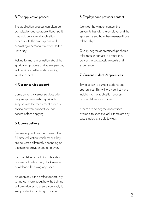# 3. The application process

The application process can often be complex for degree apprenticeships. It may include a formal application process with the employer as well submitting a personal statement to the university.

Asking for more information about the application process during an open day will provide a better understanding of what to expect.

### 4. Career service support

Some university career services offer degree apprenticeship applicants support with the recruitment process, so find out what support you can access before applying.

#### 5. Course delivery

Degree apprenticeship courses differ to full-time education which means they are delivered differently depending on the training provider and employer.

Course delivery could include a day release, online learning, block release or a blended learning approach.

An open day is the perfect opportunity to find out more about how the training will be delivered to ensure you apply for an opportunity that is right for you.

#### 6. Employer and provider contact

Consider how much contact the university has with the employer and the apprentice and how they manage those relationships.

Quality degree apprenticeships should offer regular contact to ensure they deliver the best possible results and experience.

#### 7. Current students/apprentices

Try to speak to current students and apprentices. This will provide first-hand insight into the application process, course delivery and more.

If there are no degree apprentices available to speak to, ask if there are any case studies available to view.